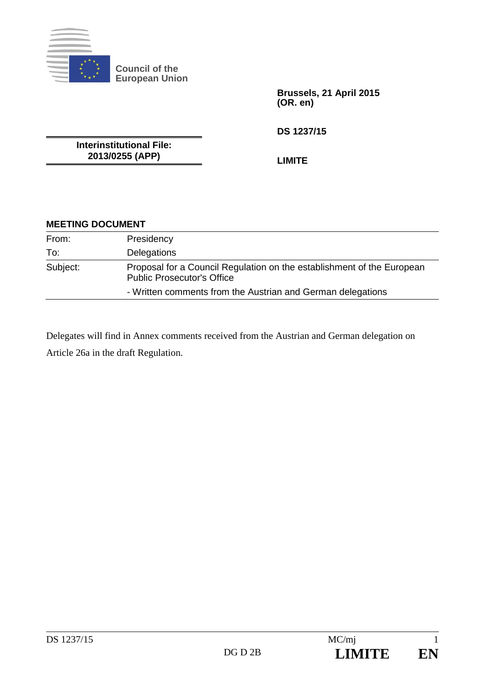

**Council of the European Union** 

> **Brussels, 21 April 2015 (OR. en)**

**DS 1237/15** 

**Interinstitutional File: 2013/0255 (APP)** 

**LIMITE** 

| <b>MEETING DOCUMENT</b> |  |
|-------------------------|--|
|-------------------------|--|

| From:    | Presidency                                                                                                  |
|----------|-------------------------------------------------------------------------------------------------------------|
| To:      | <b>Delegations</b>                                                                                          |
| Subject: | Proposal for a Council Regulation on the establishment of the European<br><b>Public Prosecutor's Office</b> |
|          | - Written comments from the Austrian and German delegations                                                 |

Delegates will find in Annex comments received from the Austrian and German delegation on Article 26a in the draft Regulation.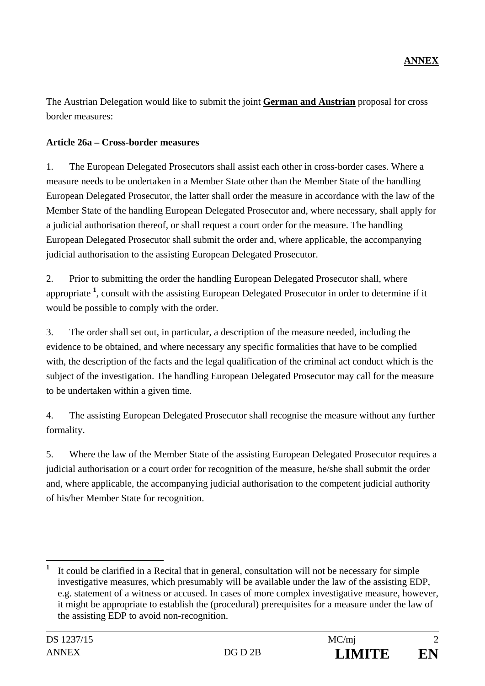The Austrian Delegation would like to submit the joint **German and Austrian** proposal for cross border measures:

## **Article 26a – Cross-border measures**

1. The European Delegated Prosecutors shall assist each other in cross-border cases. Where a measure needs to be undertaken in a Member State other than the Member State of the handling European Delegated Prosecutor, the latter shall order the measure in accordance with the law of the Member State of the handling European Delegated Prosecutor and, where necessary, shall apply for a judicial authorisation thereof, or shall request a court order for the measure. The handling European Delegated Prosecutor shall submit the order and, where applicable, the accompanying judicial authorisation to the assisting European Delegated Prosecutor.

2. Prior to submitting the order the handling European Delegated Prosecutor shall, where appropriate **<sup>1</sup>** , consult with the assisting European Delegated Prosecutor in order to determine if it would be possible to comply with the order.

3. The order shall set out, in particular, a description of the measure needed, including the evidence to be obtained, and where necessary any specific formalities that have to be complied with, the description of the facts and the legal qualification of the criminal act conduct which is the subject of the investigation. The handling European Delegated Prosecutor may call for the measure to be undertaken within a given time.

4. The assisting European Delegated Prosecutor shall recognise the measure without any further formality.

5. Where the law of the Member State of the assisting European Delegated Prosecutor requires a judicial authorisation or a court order for recognition of the measure, he/she shall submit the order and, where applicable, the accompanying judicial authorisation to the competent judicial authority of his/her Member State for recognition.

 $\overline{a}$ 

**<sup>1</sup>** It could be clarified in a Recital that in general, consultation will not be necessary for simple investigative measures, which presumably will be available under the law of the assisting EDP, e.g. statement of a witness or accused. In cases of more complex investigative measure, however, it might be appropriate to establish the (procedural) prerequisites for a measure under the law of the assisting EDP to avoid non-recognition.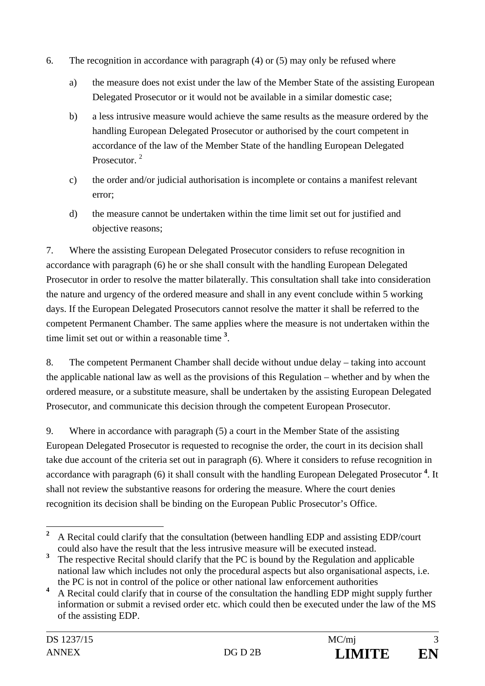- 6. The recognition in accordance with paragraph (4) or (5) may only be refused where
	- a) the measure does not exist under the law of the Member State of the assisting European Delegated Prosecutor or it would not be available in a similar domestic case;
	- b) a less intrusive measure would achieve the same results as the measure ordered by the handling European Delegated Prosecutor or authorised by the court competent in accordance of the law of the Member State of the handling European Delegated Prosecutor.<sup>2</sup>
	- c) the order and/or judicial authorisation is incomplete or contains a manifest relevant error;
	- d) the measure cannot be undertaken within the time limit set out for justified and objective reasons;

7. Where the assisting European Delegated Prosecutor considers to refuse recognition in accordance with paragraph (6) he or she shall consult with the handling European Delegated Prosecutor in order to resolve the matter bilaterally. This consultation shall take into consideration the nature and urgency of the ordered measure and shall in any event conclude within 5 working days. If the European Delegated Prosecutors cannot resolve the matter it shall be referred to the competent Permanent Chamber. The same applies where the measure is not undertaken within the time limit set out or within a reasonable time **<sup>3</sup>** .

8. The competent Permanent Chamber shall decide without undue delay – taking into account the applicable national law as well as the provisions of this Regulation – whether and by when the ordered measure, or a substitute measure, shall be undertaken by the assisting European Delegated Prosecutor, and communicate this decision through the competent European Prosecutor.

9. Where in accordance with paragraph (5) a court in the Member State of the assisting European Delegated Prosecutor is requested to recognise the order, the court in its decision shall take due account of the criteria set out in paragraph (6). Where it considers to refuse recognition in accordance with paragraph (6) it shall consult with the handling European Delegated Prosecutor **<sup>4</sup>** . It shall not review the substantive reasons for ordering the measure. Where the court denies recognition its decision shall be binding on the European Public Prosecutor's Office.

 **2** A Recital could clarify that the consultation (between handling EDP and assisting EDP/court could also have the result that the less intrusive measure will be executed instead.

**<sup>3</sup>** The respective Recital should clarify that the PC is bound by the Regulation and applicable national law which includes not only the procedural aspects but also organisational aspects, i.e. the PC is not in control of the police or other national law enforcement authorities

**<sup>4</sup>** A Recital could clarify that in course of the consultation the handling EDP might supply further information or submit a revised order etc. which could then be executed under the law of the MS of the assisting EDP.